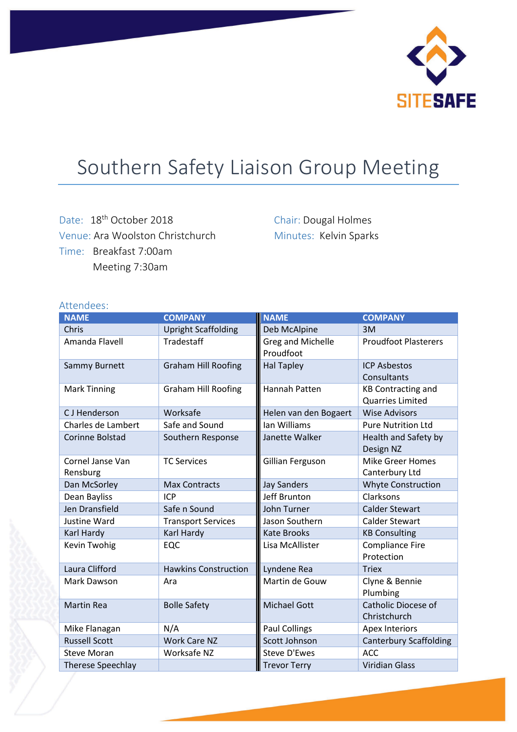

## Southern Safety Liaison Group Meeting

Date: 18<sup>th</sup> October 2018 Venue: Ara Woolston Christchurch Time: Breakfast 7:00am Meeting 7:30am

Chair: Dougal Holmes Minutes: Kelvin Sparks

## Attendees:

| <b>NAME</b>                  | <b>COMPANY</b>              | <b>NAME</b>                    | <b>COMPANY</b>                                       |
|------------------------------|-----------------------------|--------------------------------|------------------------------------------------------|
| Chris                        | <b>Upright Scaffolding</b>  | Deb McAlpine                   | 3M                                                   |
| Amanda Flavell               | Tradestaff                  | Greg and Michelle<br>Proudfoot | <b>Proudfoot Plasterers</b>                          |
| Sammy Burnett                | <b>Graham Hill Roofing</b>  | <b>Hal Tapley</b>              | <b>ICP Asbestos</b><br>Consultants                   |
| <b>Mark Tinning</b>          | <b>Graham Hill Roofing</b>  | Hannah Patten                  | <b>KB Contracting and</b><br><b>Quarries Limited</b> |
| C J Henderson                | Worksafe                    | Helen van den Bogaert          | <b>Wise Advisors</b>                                 |
| Charles de Lambert           | Safe and Sound              | lan Williams                   | <b>Pure Nutrition Ltd</b>                            |
| Corinne Bolstad              | Southern Response           | Janette Walker                 | Health and Safety by<br>Design NZ                    |
| Cornel Janse Van<br>Rensburg | <b>TC Services</b>          | Gillian Ferguson               | <b>Mike Greer Homes</b><br>Canterbury Ltd            |
| Dan McSorley                 | <b>Max Contracts</b>        | <b>Jay Sanders</b>             | <b>Whyte Construction</b>                            |
| Dean Bayliss                 | ICP                         | Jeff Brunton                   | Clarksons                                            |
| <b>Jen Dransfield</b>        | Safe n Sound                | John Turner                    | <b>Calder Stewart</b>                                |
| Justine Ward                 | <b>Transport Services</b>   | Jason Southern                 | Calder Stewart                                       |
| Karl Hardy                   | Karl Hardy                  | <b>Kate Brooks</b>             | <b>KB Consulting</b>                                 |
| Kevin Twohig                 | EQC                         | Lisa McAllister                | <b>Compliance Fire</b><br>Protection                 |
| Laura Clifford               | <b>Hawkins Construction</b> | Lyndene Rea                    | <b>Triex</b>                                         |
| Mark Dawson                  | Ara                         | Martin de Gouw                 | Clyne & Bennie<br>Plumbing                           |
| <b>Martin Rea</b>            | <b>Bolle Safety</b>         | <b>Michael Gott</b>            | Catholic Diocese of<br>Christchurch                  |
| Mike Flanagan                | N/A                         | <b>Paul Collings</b>           | Apex Interiors                                       |
| <b>Russell Scott</b>         | <b>Work Care NZ</b>         | Scott Johnson                  | <b>Canterbury Scaffolding</b>                        |
| <b>Steve Moran</b>           | Worksafe NZ                 | <b>Steve D'Ewes</b>            | <b>ACC</b>                                           |
| <b>Therese Speechlay</b>     |                             | <b>Trevor Terry</b>            | <b>Viridian Glass</b>                                |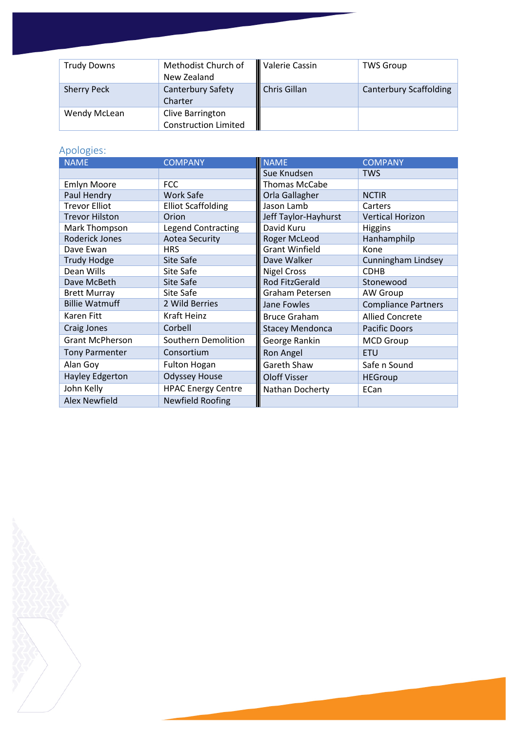| <b>Trudy Downs</b> | Methodist Church of<br>New Zealand              | Valerie Cassin | <b>TWS Group</b>              |
|--------------------|-------------------------------------------------|----------------|-------------------------------|
| <b>Sherry Peck</b> | <b>Canterbury Safety</b><br>Charter             | Chris Gillan   | <b>Canterbury Scaffolding</b> |
| Wendy McLean       | Clive Barrington<br><b>Construction Limited</b> |                |                               |

## Apologies:

| <b>NAME</b>            | <b>COMPANY</b>            | <b>NAME</b>            | <b>COMPANY</b>             |
|------------------------|---------------------------|------------------------|----------------------------|
|                        |                           | Sue Knudsen            | <b>TWS</b>                 |
| <b>Emlyn Moore</b>     | <b>FCC</b>                | Thomas McCabe          |                            |
| Paul Hendry            | <b>Work Safe</b>          | Orla Gallagher         | <b>NCTIR</b>               |
| <b>Trevor Elliot</b>   | <b>Elliot Scaffolding</b> | Jason Lamb             | Carters                    |
| <b>Trevor Hilston</b>  | Orion                     | Jeff Taylor-Hayhurst   | <b>Vertical Horizon</b>    |
| Mark Thompson          | <b>Legend Contracting</b> | David Kuru             | <b>Higgins</b>             |
| Roderick Jones         | <b>Aotea Security</b>     | Roger McLeod           | Hanhamphilp                |
| Dave Ewan              | <b>HRS</b>                | <b>Grant Winfield</b>  | Kone                       |
| <b>Trudy Hodge</b>     | Site Safe                 | Dave Walker            | Cunningham Lindsey         |
| Dean Wills             | Site Safe                 | <b>Nigel Cross</b>     | <b>CDHB</b>                |
| Dave McBeth            | Site Safe                 | Rod FitzGerald         | Stonewood                  |
| <b>Brett Murray</b>    | Site Safe                 | Graham Petersen        | AW Group                   |
| <b>Billie Watmuff</b>  | 2 Wild Berries            | Jane Fowles            | <b>Compliance Partners</b> |
| Karen Fitt             | Kraft Heinz               | <b>Bruce Graham</b>    | <b>Allied Concrete</b>     |
| Craig Jones            | Corbell                   | <b>Stacey Mendonca</b> | <b>Pacific Doors</b>       |
| <b>Grant McPherson</b> | Southern Demolition       | George Rankin          | <b>MCD Group</b>           |
| <b>Tony Parmenter</b>  | Consortium                | Ron Angel              | <b>ETU</b>                 |
| Alan Goy               | <b>Fulton Hogan</b>       | Gareth Shaw            | Safe n Sound               |
| <b>Hayley Edgerton</b> | <b>Odyssey House</b>      | <b>Oloff Visser</b>    | <b>HEGroup</b>             |
| John Kelly             | <b>HPAC Energy Centre</b> | Nathan Docherty        | ECan                       |
| <b>Alex Newfield</b>   | <b>Newfield Roofing</b>   |                        |                            |